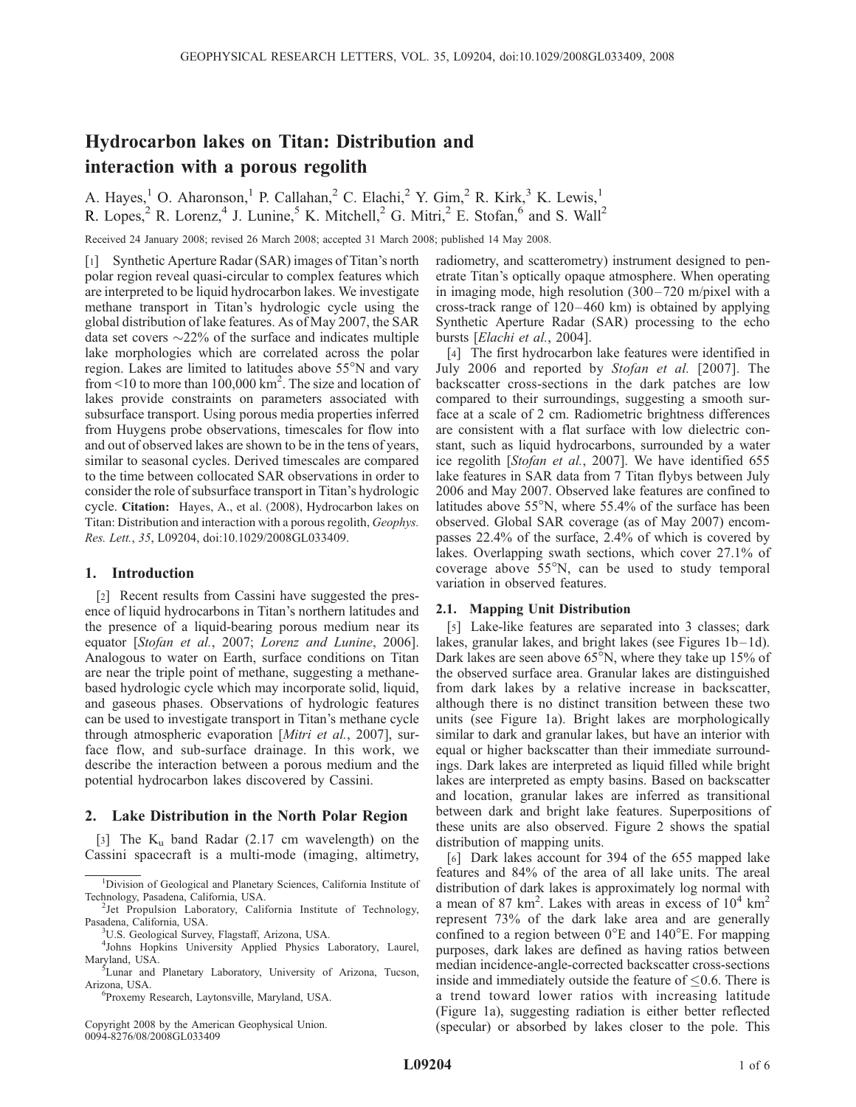# Hydrocarbon lakes on Titan: Distribution and interaction with a porous regolith

A. Hayes,<sup>1</sup> O. Aharonson,<sup>1</sup> P. Callahan,<sup>2</sup> C. Elachi,<sup>2</sup> Y. Gim,<sup>2</sup> R. Kirk,<sup>3</sup> K. Lewis,<sup>1</sup> R. Lopes,  $^2$  R. Lorenz,  $^4$  J. Lunine,  $^5$  K. Mitchell,  $^2$  G. Mitri,  $^2$  E. Stofan,  $^6$  and S. Wall<sup>2</sup>

Received 24 January 2008; revised 26 March 2008; accepted 31 March 2008; published 14 May 2008.

[1] Synthetic Aperture Radar (SAR) images of Titan's north polar region reveal quasi-circular to complex features which are interpreted to be liquid hydrocarbon lakes. We investigate methane transport in Titan's hydrologic cycle using the global distribution of lake features. As of May 2007, the SAR data set covers  $\sim$ 22% of the surface and indicates multiple lake morphologies which are correlated across the polar region. Lakes are limited to latitudes above  $55^{\circ}$ N and vary from  $\leq 10$  to more than 100,000 km<sup>2</sup>. The size and location of lakes provide constraints on parameters associated with subsurface transport. Using porous media properties inferred from Huygens probe observations, timescales for flow into and out of observed lakes are shown to be in the tens of years, similar to seasonal cycles. Derived timescales are compared to the time between collocated SAR observations in order to consider the role of subsurface transport in Titan's hydrologic cycle. Citation: Hayes, A., et al. (2008), Hydrocarbon lakes on Titan: Distribution and interaction with a porous regolith, Geophys. Res. Lett., 35, L09204, doi:10.1029/2008GL033409.

## 1. Introduction

[2] Recent results from Cassini have suggested the presence of liquid hydrocarbons in Titan's northern latitudes and the presence of a liquid-bearing porous medium near its equator [Stofan et al., 2007; Lorenz and Lunine, 2006]. Analogous to water on Earth, surface conditions on Titan are near the triple point of methane, suggesting a methanebased hydrologic cycle which may incorporate solid, liquid, and gaseous phases. Observations of hydrologic features can be used to investigate transport in Titan's methane cycle through atmospheric evaporation [Mitri et al., 2007], surface flow, and sub-surface drainage. In this work, we describe the interaction between a porous medium and the potential hydrocarbon lakes discovered by Cassini.

## 2. Lake Distribution in the North Polar Region

[3] The  $K_u$  band Radar (2.17 cm wavelength) on the Cassini spacecraft is a multi-mode (imaging, altimetry,

Copyright 2008 by the American Geophysical Union. 0094-8276/08/2008GL033409

radiometry, and scatterometry) instrument designed to penetrate Titan's optically opaque atmosphere. When operating in imaging mode, high resolution  $(300 - 720 \text{ m/pixel with a})$ cross-track range of 120– 460 km) is obtained by applying Synthetic Aperture Radar (SAR) processing to the echo bursts [Elachi et al., 2004].

[4] The first hydrocarbon lake features were identified in July 2006 and reported by Stofan et al. [2007]. The backscatter cross-sections in the dark patches are low compared to their surroundings, suggesting a smooth surface at a scale of 2 cm. Radiometric brightness differences are consistent with a flat surface with low dielectric constant, such as liquid hydrocarbons, surrounded by a water ice regolith [Stofan et al., 2007]. We have identified 655 lake features in SAR data from 7 Titan flybys between July 2006 and May 2007. Observed lake features are confined to latitudes above  $55^{\circ}$ N, where  $55.4\%$  of the surface has been observed. Global SAR coverage (as of May 2007) encompasses 22.4% of the surface, 2.4% of which is covered by lakes. Overlapping swath sections, which cover 27.1% of coverage above  $55^{\circ}$ N, can be used to study temporal variation in observed features.

## 2.1. Mapping Unit Distribution

[5] Lake-like features are separated into 3 classes; dark lakes, granular lakes, and bright lakes (see Figures  $1b-1d$ ). Dark lakes are seen above  $65^{\circ}$ N, where they take up 15% of the observed surface area. Granular lakes are distinguished from dark lakes by a relative increase in backscatter, although there is no distinct transition between these two units (see Figure 1a). Bright lakes are morphologically similar to dark and granular lakes, but have an interior with equal or higher backscatter than their immediate surroundings. Dark lakes are interpreted as liquid filled while bright lakes are interpreted as empty basins. Based on backscatter and location, granular lakes are inferred as transitional between dark and bright lake features. Superpositions of these units are also observed. Figure 2 shows the spatial distribution of mapping units.

[6] Dark lakes account for 394 of the 655 mapped lake features and 84% of the area of all lake units. The areal distribution of dark lakes is approximately log normal with a mean of 87 km<sup>2</sup>. Lakes with areas in excess of  $10^4$  km<sup>2</sup> represent 73% of the dark lake area and are generally confined to a region between  $0^{\circ}E$  and  $140^{\circ}E$ . For mapping purposes, dark lakes are defined as having ratios between median incidence-angle-corrected backscatter cross-sections inside and immediately outside the feature of  $\leq 0.6$ . There is a trend toward lower ratios with increasing latitude (Figure 1a), suggesting radiation is either better reflected (specular) or absorbed by lakes closer to the pole. This

<sup>&</sup>lt;sup>1</sup>Division of Geological and Planetary Sciences, California Institute of Technology, Pasadena, California, USA. <sup>2</sup>

 $2$ Jet Propulsion Laboratory, California Institute of Technology, Pasadena, California, USA. <sup>3</sup>

<sup>&</sup>lt;sup>3</sup>U.S. Geological Survey, Flagstaff, Arizona, USA.

<sup>4</sup> Johns Hopkins University Applied Physics Laboratory, Laurel, Maryland, USA.

<sup>&</sup>lt;sup>5</sup>Lunar and Planetary Laboratory, University of Arizona, Tucson, Arizona, USA. <sup>6</sup>

Proxemy Research, Laytonsville, Maryland, USA.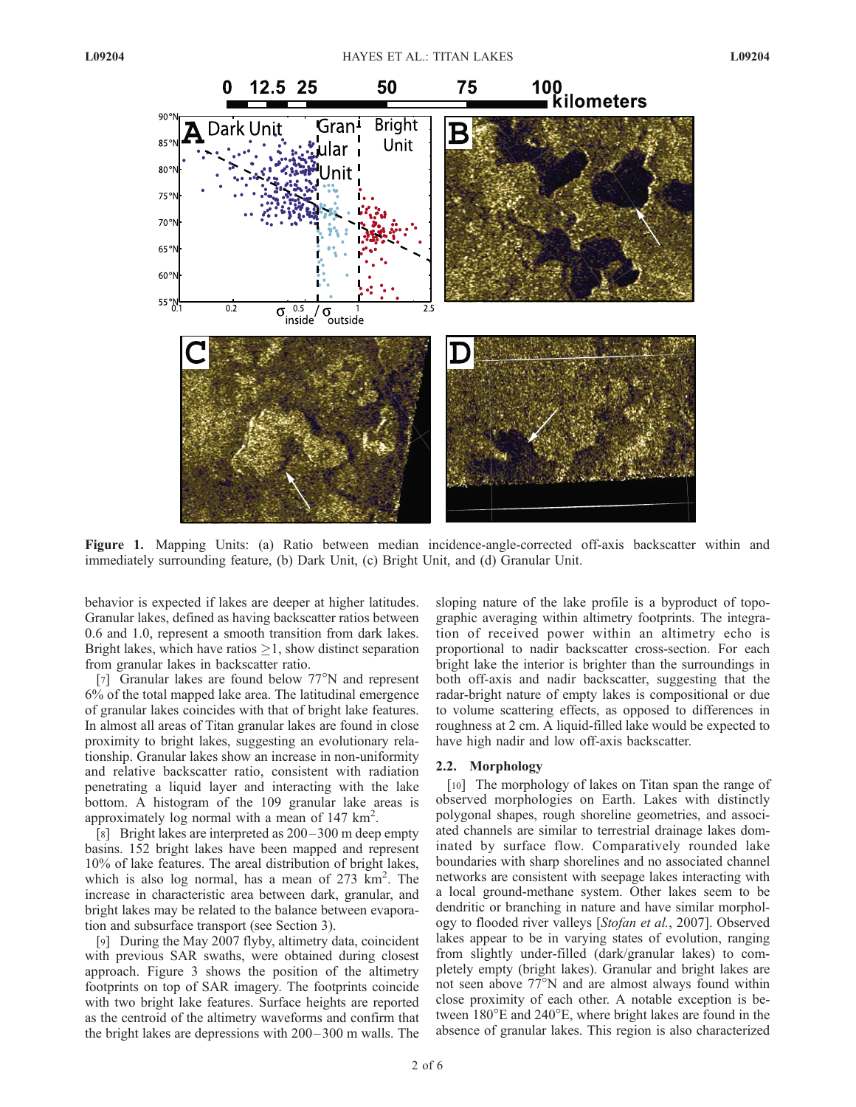

Figure 1. Mapping Units: (a) Ratio between median incidence-angle-corrected off-axis backscatter within and immediately surrounding feature, (b) Dark Unit, (c) Bright Unit, and (d) Granular Unit.

behavior is expected if lakes are deeper at higher latitudes. Granular lakes, defined as having backscatter ratios between 0.6 and 1.0, represent a smooth transition from dark lakes. Bright lakes, which have ratios  $\geq 1$ , show distinct separation from granular lakes in backscatter ratio.

[7] Granular lakes are found below  $77^{\circ}$ N and represent 6% of the total mapped lake area. The latitudinal emergence of granular lakes coincides with that of bright lake features. In almost all areas of Titan granular lakes are found in close proximity to bright lakes, suggesting an evolutionary relationship. Granular lakes show an increase in non-uniformity and relative backscatter ratio, consistent with radiation penetrating a liquid layer and interacting with the lake bottom. A histogram of the 109 granular lake areas is approximately log normal with a mean of 147  $\text{km}^2$ .

[8] Bright lakes are interpreted as 200– 300 m deep empty basins. 152 bright lakes have been mapped and represent 10% of lake features. The areal distribution of bright lakes, which is also log normal, has a mean of  $273 \text{ km}^2$ . The increase in characteristic area between dark, granular, and bright lakes may be related to the balance between evaporation and subsurface transport (see Section 3).

[9] During the May 2007 flyby, altimetry data, coincident with previous SAR swaths, were obtained during closest approach. Figure 3 shows the position of the altimetry footprints on top of SAR imagery. The footprints coincide with two bright lake features. Surface heights are reported as the centroid of the altimetry waveforms and confirm that the bright lakes are depressions with 200– 300 m walls. The

sloping nature of the lake profile is a byproduct of topographic averaging within altimetry footprints. The integration of received power within an altimetry echo is proportional to nadir backscatter cross-section. For each bright lake the interior is brighter than the surroundings in both off-axis and nadir backscatter, suggesting that the radar-bright nature of empty lakes is compositional or due to volume scattering effects, as opposed to differences in roughness at 2 cm. A liquid-filled lake would be expected to have high nadir and low off-axis backscatter.

## 2.2. Morphology

[10] The morphology of lakes on Titan span the range of observed morphologies on Earth. Lakes with distinctly polygonal shapes, rough shoreline geometries, and associated channels are similar to terrestrial drainage lakes dominated by surface flow. Comparatively rounded lake boundaries with sharp shorelines and no associated channel networks are consistent with seepage lakes interacting with a local ground-methane system. Other lakes seem to be dendritic or branching in nature and have similar morphology to flooded river valleys [Stofan et al., 2007]. Observed lakes appear to be in varying states of evolution, ranging from slightly under-filled (dark/granular lakes) to completely empty (bright lakes). Granular and bright lakes are not seen above  $77^{\circ}$ N and are almost always found within close proximity of each other. A notable exception is between  $180^{\circ}$ E and  $240^{\circ}$ E, where bright lakes are found in the absence of granular lakes. This region is also characterized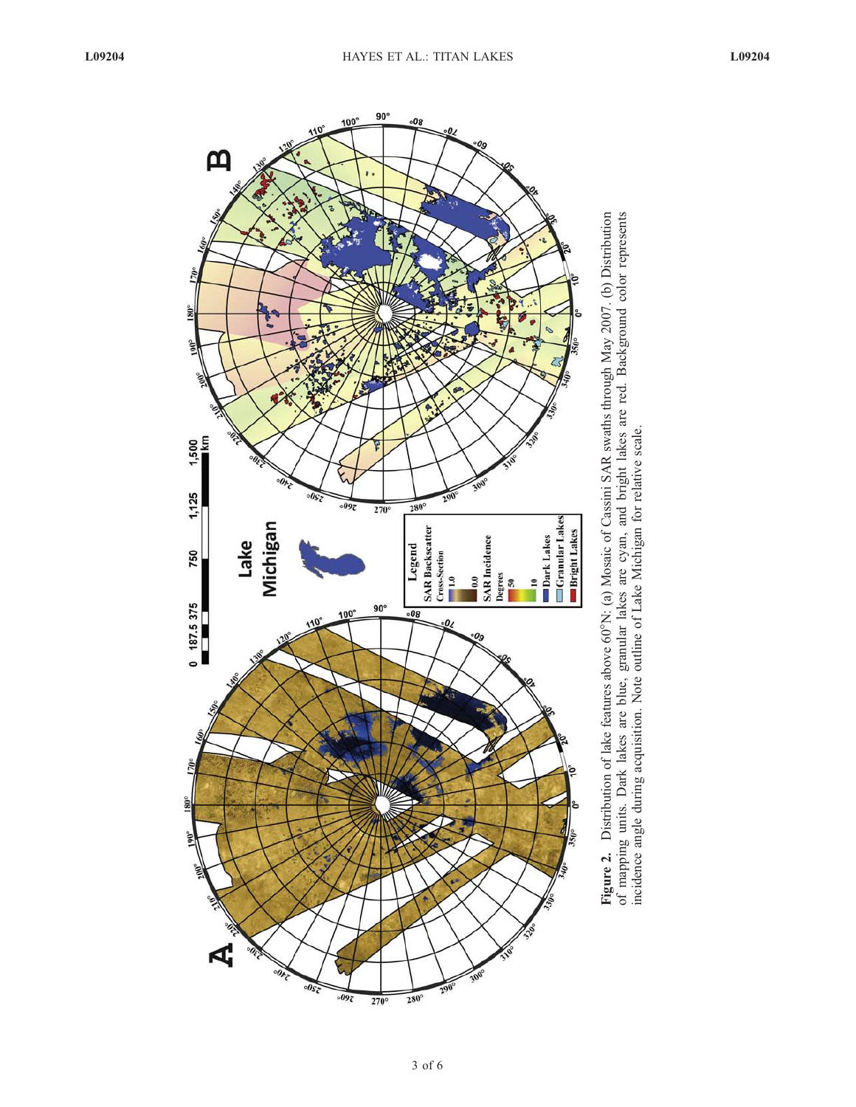

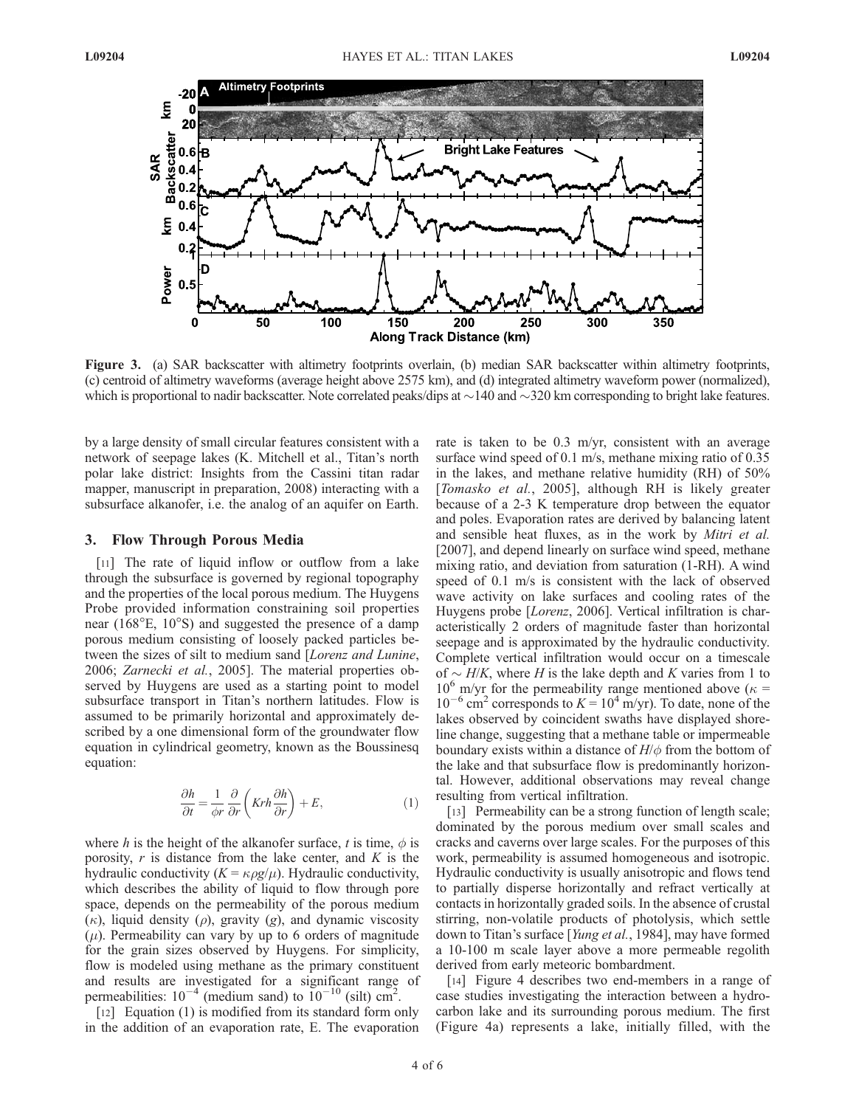

Figure 3. (a) SAR backscatter with altimetry footprints overlain, (b) median SAR backscatter within altimetry footprints, (c) centroid of altimetry waveforms (average height above 2575 km), and (d) integrated altimetry waveform power (normalized), which is proportional to nadir backscatter. Note correlated peaks/dips at  $\sim$ 140 and  $\sim$ 320 km corresponding to bright lake features.

by a large density of small circular features consistent with a network of seepage lakes (K. Mitchell et al., Titan's north polar lake district: Insights from the Cassini titan radar mapper, manuscript in preparation, 2008) interacting with a subsurface alkanofer, i.e. the analog of an aquifer on Earth.

#### 3. Flow Through Porous Media

[11] The rate of liquid inflow or outflow from a lake through the subsurface is governed by regional topography and the properties of the local porous medium. The Huygens Probe provided information constraining soil properties near  $(168^{\circ}E, 10^{\circ}S)$  and suggested the presence of a damp porous medium consisting of loosely packed particles between the sizes of silt to medium sand [Lorenz and Lunine, 2006; Zarnecki et al., 2005]. The material properties observed by Huygens are used as a starting point to model subsurface transport in Titan's northern latitudes. Flow is assumed to be primarily horizontal and approximately described by a one dimensional form of the groundwater flow equation in cylindrical geometry, known as the Boussinesq equation:

$$
\frac{\partial h}{\partial t} = \frac{1}{\phi r} \frac{\partial}{\partial r} \left( Krh \frac{\partial h}{\partial r} \right) + E, \tag{1}
$$

where h is the height of the alkanofer surface, t is time,  $\phi$  is porosity,  $r$  is distance from the lake center, and  $K$  is the hydraulic conductivity  $(K = \kappa \rho g/\mu)$ . Hydraulic conductivity, which describes the ability of liquid to flow through pore space, depends on the permeability of the porous medium  $(\kappa)$ , liquid density  $(\rho)$ , gravity  $(g)$ , and dynamic viscosity  $(\mu)$ . Permeability can vary by up to 6 orders of magnitude for the grain sizes observed by Huygens. For simplicity, flow is modeled using methane as the primary constituent and results are investigated for a significant range of permeabilities:  $10^{-4}$  (medium sand) to  $10^{-10}$  (silt) cm<sup>2</sup>.

[12] Equation (1) is modified from its standard form only in the addition of an evaporation rate, E. The evaporation rate is taken to be 0.3 m/yr, consistent with an average surface wind speed of 0.1 m/s, methane mixing ratio of 0.35 in the lakes, and methane relative humidity (RH) of 50% [Tomasko et al., 2005], although RH is likely greater because of a 2-3 K temperature drop between the equator and poles. Evaporation rates are derived by balancing latent and sensible heat fluxes, as in the work by Mitri et al. [2007], and depend linearly on surface wind speed, methane mixing ratio, and deviation from saturation (1-RH). A wind speed of 0.1 m/s is consistent with the lack of observed wave activity on lake surfaces and cooling rates of the Huygens probe [Lorenz, 2006]. Vertical infiltration is characteristically 2 orders of magnitude faster than horizontal seepage and is approximated by the hydraulic conductivity. Complete vertical infiltration would occur on a timescale of  $\sim$  H/K, where H is the lake depth and K varies from 1 to  $10^6$  m/yr for the permeability range mentioned above ( $\kappa$  =  $10^{-6}$  cm<sup>2</sup> corresponds to  $K = 10^{4}$  m/yr). To date, none of the lakes observed by coincident swaths have displayed shoreline change, suggesting that a methane table or impermeable boundary exists within a distance of  $H/\phi$  from the bottom of the lake and that subsurface flow is predominantly horizontal. However, additional observations may reveal change resulting from vertical infiltration.

[13] Permeability can be a strong function of length scale; dominated by the porous medium over small scales and cracks and caverns over large scales. For the purposes of this work, permeability is assumed homogeneous and isotropic. Hydraulic conductivity is usually anisotropic and flows tend to partially disperse horizontally and refract vertically at contacts in horizontally graded soils. In the absence of crustal stirring, non-volatile products of photolysis, which settle down to Titan's surface [Yung et al., 1984], may have formed a 10-100 m scale layer above a more permeable regolith derived from early meteoric bombardment.

[14] Figure 4 describes two end-members in a range of case studies investigating the interaction between a hydrocarbon lake and its surrounding porous medium. The first (Figure 4a) represents a lake, initially filled, with the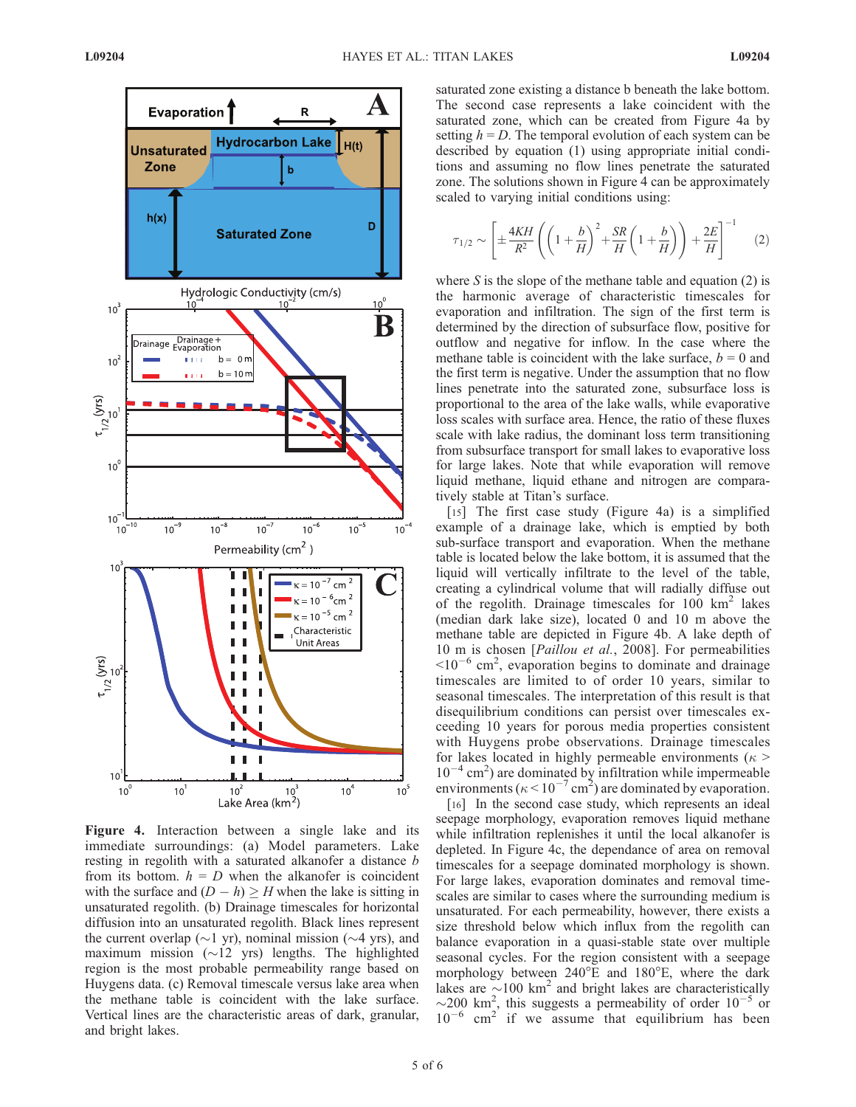

Figure 4. Interaction between a single lake and its immediate surroundings: (a) Model parameters. Lake resting in regolith with a saturated alkanofer a distance b from its bottom.  $h = D$  when the alkanofer is coincident with the surface and  $(D - h) \geq H$  when the lake is sitting in unsaturated regolith. (b) Drainage timescales for horizontal diffusion into an unsaturated regolith. Black lines represent the current overlap ( $\sim$ 1 yr), nominal mission ( $\sim$ 4 yrs), and maximum mission  $(\sim 12 \text{ yrs})$  lengths. The highlighted region is the most probable permeability range based on Huygens data. (c) Removal timescale versus lake area when the methane table is coincident with the lake surface. Vertical lines are the characteristic areas of dark, granular, and bright lakes.

saturated zone existing a distance b beneath the lake bottom. The second case represents a lake coincident with the saturated zone, which can be created from Figure 4a by setting  $h = D$ . The temporal evolution of each system can be described by equation (1) using appropriate initial conditions and assuming no flow lines penetrate the saturated zone. The solutions shown in Figure 4 can be approximately scaled to varying initial conditions using:

$$
\tau_{1/2} \sim \left[ \pm \frac{4KH}{R^2} \left( \left( 1 + \frac{b}{H} \right)^2 + \frac{SR}{H} \left( 1 + \frac{b}{H} \right) \right) + \frac{2E}{H} \right]^{-1} \tag{2}
$$

where S is the slope of the methane table and equation  $(2)$  is the harmonic average of characteristic timescales for evaporation and infiltration. The sign of the first term is determined by the direction of subsurface flow, positive for outflow and negative for inflow. In the case where the methane table is coincident with the lake surface,  $b = 0$  and the first term is negative. Under the assumption that no flow lines penetrate into the saturated zone, subsurface loss is proportional to the area of the lake walls, while evaporative loss scales with surface area. Hence, the ratio of these fluxes scale with lake radius, the dominant loss term transitioning from subsurface transport for small lakes to evaporative loss for large lakes. Note that while evaporation will remove liquid methane, liquid ethane and nitrogen are comparatively stable at Titan's surface.

[15] The first case study (Figure 4a) is a simplified example of a drainage lake, which is emptied by both sub-surface transport and evaporation. When the methane table is located below the lake bottom, it is assumed that the liquid will vertically infiltrate to the level of the table, creating a cylindrical volume that will radially diffuse out of the regolith. Drainage timescales for  $100 \text{ km}^2$  lakes (median dark lake size), located 0 and 10 m above the methane table are depicted in Figure 4b. A lake depth of 10 m is chosen [Paillou et al., 2008]. For permeabilities  $\approx 10^{-6}$  cm<sup>2</sup>, evaporation begins to dominate and drainage timescales are limited to of order 10 years, similar to seasonal timescales. The interpretation of this result is that disequilibrium conditions can persist over timescales exceeding 10 years for porous media properties consistent with Huygens probe observations. Drainage timescales for lakes located in highly permeable environments ( $\kappa$  >  $10^{-4}$  cm<sup>2</sup>) are dominated by infiltration while impermeable environments ( $\kappa$  < 10<sup>-7</sup> cm<sup>2</sup>) are dominated by evaporation.

[16] In the second case study, which represents an ideal seepage morphology, evaporation removes liquid methane while infiltration replenishes it until the local alkanofer is depleted. In Figure 4c, the dependance of area on removal timescales for a seepage dominated morphology is shown. For large lakes, evaporation dominates and removal timescales are similar to cases where the surrounding medium is unsaturated. For each permeability, however, there exists a size threshold below which influx from the regolith can balance evaporation in a quasi-stable state over multiple seasonal cycles. For the region consistent with a seepage morphology between  $240^{\circ}$ E and  $180^{\circ}$ E, where the dark lakes are  $\sim 100$  km<sup>2</sup> and bright lakes are characteristically  $\sim$ 200 km<sup>2</sup>, this suggests a permeability of order 10<sup>-5</sup> or  $10^{-6}$  cm<sup>2</sup> if we assume that equilibrium has been